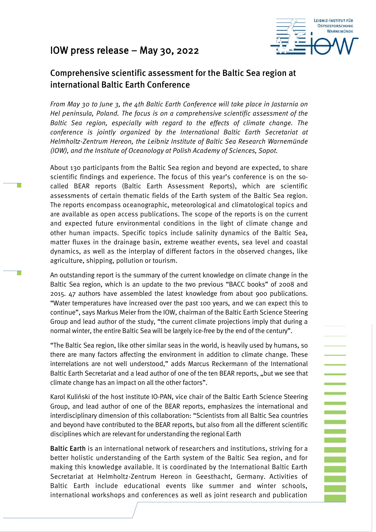# IOW press release – May 30, 2022

т



**ENDER** 

an<br>Ma

## Comprehensive scientific assessment for the Baltic Sea region at international Baltic Earth Conference

*From May 30 to June 3, the 4th Baltic Earth Conference will take place in Jastarnia on Hel peninsula, Poland. The focus is on a comprehensive scientific assessment of the Baltic Sea region, especially with regard to the effects of climate change. The conference is jointly organized by the International Baltic Earth Secretariat at Helmholtz-Zentrum Hereon, the Leibniz Institute of Baltic Sea Research Warnemünde (IOW), and the Institute of Oceanology at Polish Academy of Sciences, Sopot.*

About 130 participants from the Baltic Sea region and beyond are expected, to share scientific findings and experience. The focus of this year's conference is on the socalled BEAR reports (Baltic Earth Assessment Reports), which are scientific assessments of certain thematic fields of the Earth system of the Baltic Sea region. The reports encompass oceanographic, meteorological and climatological topics and are available as open access publications. The scope of the reports is on the current and expected future environmental conditions in the light of climate change and other human impacts. Specific topics include salinity dynamics of the Baltic Sea, matter fluxes in the drainage basin, extreme weather events, sea level and coastal dynamics, as well as the interplay of different factors in the observed changes, like agriculture, shipping, pollution or tourism.

An outstanding report is the summary of the current knowledge on climate change in the Baltic Sea region, which is an update to the two previous "BACC books" of 2008 and 2015. 47 authors have assembled the latest knowledge from about 900 publications. "Water temperatures have increased over the past 100 years, and we can expect this to continue", says Markus Meier from the IOW, chairman of the Baltic Earth Science Steering Group and lead author of the study, "the current climate projections imply that during a normal winter, the entire Baltic Sea will be largely ice-free by the end of the century".

"The Baltic Sea region, like other similar seas in the world, is heavily used by humans, so there are many factors affecting the environment in addition to climate change. These interrelations are not well understood," adds Marcus Reckermann of the International Baltic Earth Secretariat and a lead author of one of the ten BEAR reports, "but we see that climate change has an impact on all the other factors".

Karol Kuliński of the host institute IO-PAN, vice chair of the Baltic Earth Science Steering Group, and lead author of one of the BEAR reports, emphasizes the international and interdisciplinary dimension of this collaboration: "Scientists from all Baltic Sea countries and beyond have contributed to the BEAR reports, but also from all the different scientific disciplines which are relevant for understanding the regional Earth

Baltic Earth is an international network of researchers and institutions, striving for a better holistic understanding of the Earth system of the Baltic Sea region, and for making this knowledge available. It is coordinated by the International Baltic Earth Secretariat at Helmholtz-Zentrum Hereon in Geesthacht, Germany. Activities of Baltic Earth include educational events like summer and winter schools, international workshops and conferences as well as joint research and publication